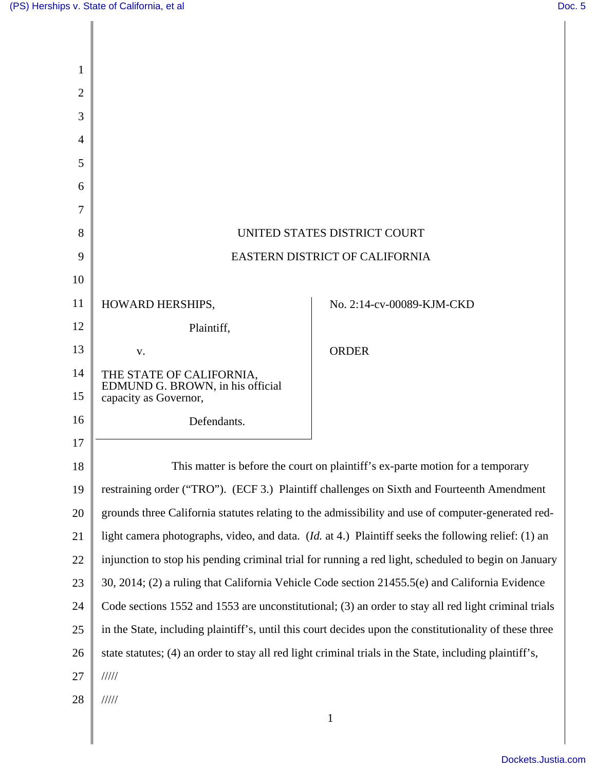| 1              |                                                                                                             |                           |
|----------------|-------------------------------------------------------------------------------------------------------------|---------------------------|
| $\overline{2}$ |                                                                                                             |                           |
| 3              |                                                                                                             |                           |
| 4              |                                                                                                             |                           |
| 5              |                                                                                                             |                           |
| 6              |                                                                                                             |                           |
| 7              |                                                                                                             |                           |
| 8              | UNITED STATES DISTRICT COURT                                                                                |                           |
| 9              | EASTERN DISTRICT OF CALIFORNIA                                                                              |                           |
| 10             |                                                                                                             |                           |
| 11             | HOWARD HERSHIPS,                                                                                            | No. 2:14-cv-00089-KJM-CKD |
| 12             | Plaintiff,                                                                                                  |                           |
| 13             | V.                                                                                                          | <b>ORDER</b>              |
| 14             | THE STATE OF CALIFORNIA,                                                                                    |                           |
| 15             | EDMUND G. BROWN, in his official<br>capacity as Governor,                                                   |                           |
| 16             | Defendants.                                                                                                 |                           |
| 17             |                                                                                                             |                           |
| 18             | This matter is before the court on plaintiff's ex-parte motion for a temporary                              |                           |
| 19             | restraining order ("TRO"). (ECF 3.) Plaintiff challenges on Sixth and Fourteenth Amendment                  |                           |
| 20             | grounds three California statutes relating to the admissibility and use of computer-generated red-          |                           |
| 21             | light camera photographs, video, and data. ( <i>Id.</i> at 4.) Plaintiff seeks the following relief: (1) an |                           |
| 22             | injunction to stop his pending criminal trial for running a red light, scheduled to begin on January        |                           |
| 23             | 30, 2014; (2) a ruling that California Vehicle Code section 21455.5(e) and California Evidence              |                           |
| 24             | Code sections 1552 and 1553 are unconstitutional; (3) an order to stay all red light criminal trials        |                           |
| 25             | in the State, including plaintiff's, until this court decides upon the constitutionality of these three     |                           |
| 26             | state statutes; (4) an order to stay all red light criminal trials in the State, including plaintiff's,     |                           |
| 27             | 11111                                                                                                       |                           |
| 28             | 11111                                                                                                       |                           |
|                |                                                                                                             | $\mathbf{1}$              |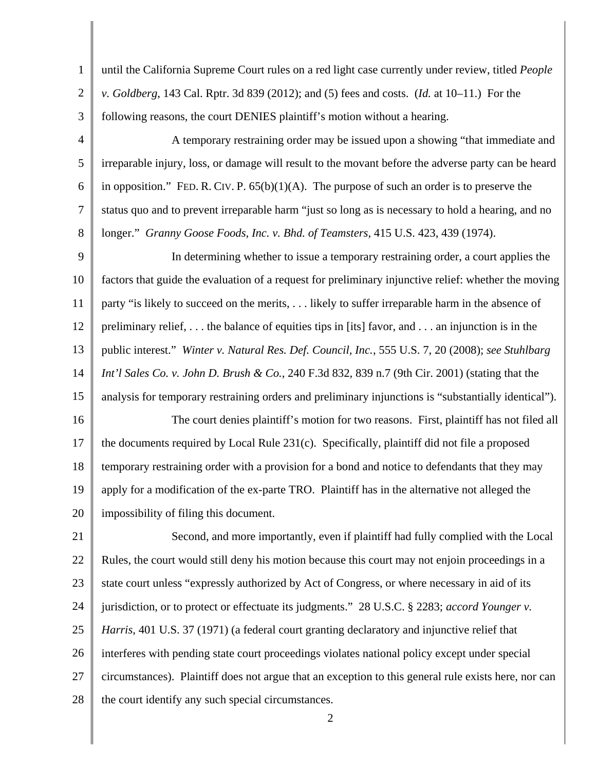1 2 3 4 5 6 7 8 9 10 11 12 13 14 15 16 17 18 19 20 21 22 23 24 25 26 27 28 2 until the California Supreme Court rules on a red light case currently under review, titled *People v. Goldberg*, 143 Cal. Rptr. 3d 839 (2012); and (5) fees and costs. (*Id.* at 10–11.) For the following reasons, the court DENIES plaintiff's motion without a hearing. A temporary restraining order may be issued upon a showing "that immediate and irreparable injury, loss, or damage will result to the movant before the adverse party can be heard in opposition." FED. R. CIV. P.  $65(b)(1)(A)$ . The purpose of such an order is to preserve the status quo and to prevent irreparable harm "just so long as is necessary to hold a hearing, and no longer." *Granny Goose Foods, Inc. v. Bhd. of Teamsters*, 415 U.S. 423, 439 (1974). In determining whether to issue a temporary restraining order, a court applies the factors that guide the evaluation of a request for preliminary injunctive relief: whether the moving party "is likely to succeed on the merits, . . . likely to suffer irreparable harm in the absence of preliminary relief, . . . the balance of equities tips in [its] favor, and . . . an injunction is in the public interest." *Winter v. Natural Res. Def. Council, Inc.*, 555 U.S. 7, 20 (2008); *see Stuhlbarg Int'l Sales Co. v. John D. Brush & Co.*, 240 F.3d 832, 839 n.7 (9th Cir. 2001) (stating that the analysis for temporary restraining orders and preliminary injunctions is "substantially identical"). The court denies plaintiff's motion for two reasons. First, plaintiff has not filed all the documents required by Local Rule 231(c). Specifically, plaintiff did not file a proposed temporary restraining order with a provision for a bond and notice to defendants that they may apply for a modification of the ex-parte TRO. Plaintiff has in the alternative not alleged the impossibility of filing this document. Second, and more importantly, even if plaintiff had fully complied with the Local Rules, the court would still deny his motion because this court may not enjoin proceedings in a state court unless "expressly authorized by Act of Congress, or where necessary in aid of its jurisdiction, or to protect or effectuate its judgments." 28 U.S.C. § 2283; *accord Younger v. Harris*, 401 U.S. 37 (1971) (a federal court granting declaratory and injunctive relief that interferes with pending state court proceedings violates national policy except under special circumstances). Plaintiff does not argue that an exception to this general rule exists here, nor can the court identify any such special circumstances.